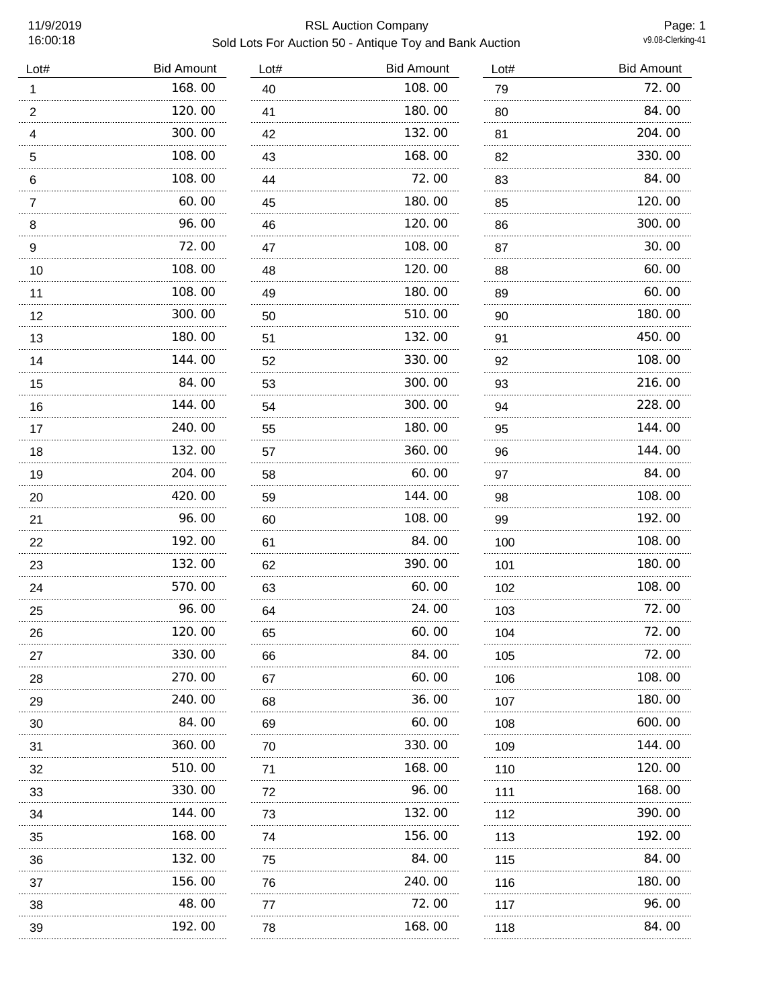# 11/9/2019 RSL Auction Company Sold Lots For Auction 50 - Antique Toy and Bank Auction

Page: 1<br>v9.08-Clerking-41

| Lot#           | <b>Bid Amount</b> | Lot#    | <b>Bid Amount</b> | Lot#    | <b>Bid Amount</b> |
|----------------|-------------------|---------|-------------------|---------|-------------------|
| 1              | 168.00            | 40      | 108.00            | 79      | 72.00             |
| $\overline{2}$ | 120.00            | 41      | 180.00            | 80      | 84.00             |
| 4              | 300.00            | 42<br>. | 132.00            | 81<br>. | 204.00            |
| 5              | 108.00            | 43      | 168.00            | 82      | 330.00            |
| 6              | 108.00            | 44      | 72.00             | 83      | 84.00             |
| $\overline{7}$ | 60.00             | 45      | 180.00            | 85      | 120.00            |
| 8              | 96.00             | 46<br>. | 120.00            | 86<br>. | 300.00            |
| 9              | 72.00             | 47      | 108.00            | 87      | 30.00             |
| 10             | 108.00            | 48      | 120.00            | 88<br>. | 60.00             |
| 11             | 108.00            | 49      | 180.00            | 89      | 60.00             |
| 12             | 300.00            | 50      | 510.00            | 90      | 180.00            |
| 13             | 180.00            | 51      | 132.00            | 91      | 450.00            |
| 14             | 144.00            | 52      | 330.00            | 92      | 108.00            |
| 15             | 84.00             | 53      | 300.00            | 93      | 216.00            |
| 16             | 144.00            | 54      | 300.00            | 94      | 228.00            |
| 17             | 240.00<br>.       | 55      | 180.00<br>.       | 95      | 144.00            |
| 18             | 132.00<br>.       | 57      | 360.00            | 96      | 144.00            |
| 19             | 204.00            | 58      | 60.00             | 97      | 84.00             |
| 20             | .<br>420.00       | 59      | 144.00            | 98      | 108.00            |
| 21             | 96.00<br>.        | 60      | 108.00<br>.       | 99      | 192.00            |
| 22             | 192.00            | 61      | 84.00             | 100     | 108.00            |
| 23             | 132.00<br>.       | 62      | 390.00<br>.       | 101     | 180.00            |
| 24             | 570.00<br>.       | 63      | 60.00             | 102     | 108.00            |
| 25             | 96.00<br>.        | 64      | 24.00<br>.        | 103     | 72.00             |
| 26             | 120.00            | 65      | 60.00             | 104     | 72.00             |
| 27             | 330.00            | 66      | 84.00             | 105     | 72.00             |
| 28             | 270.00            | 67      | 60.00             | 106     | 108.00            |
| 29             | 240.00            | 68      | 36.00             | 107     | 180.00            |
| 30             | 84.00             | 69      | 60.00             | 108     | 600.00            |
| 31             | 360.00            | 70      | 330.00            | 109     | 144.00            |
| 32             | 510.00            | 71      | 168.00            | 110     | 120.00            |
| 33             | 330.00            | 72      | 96.00             | 111     | 168.00            |
| 34             | 144.00            | 73      | 132.00            | 112     | 390.00            |
| 35             | 168.00            | 74      | 156.00            | 113     | 192.00            |
| 36             | 132.00            | 75      | 84.00             | 115     | 84.00             |
| 37             | 156.00            | 76      | 240.00            | 116     | 180.00            |
| 38             | 48.00             | 77      | 72.00             | 117     | 96.00             |
| 39             | 192.00            | 78      | 168.00            | 118     | 84.00             |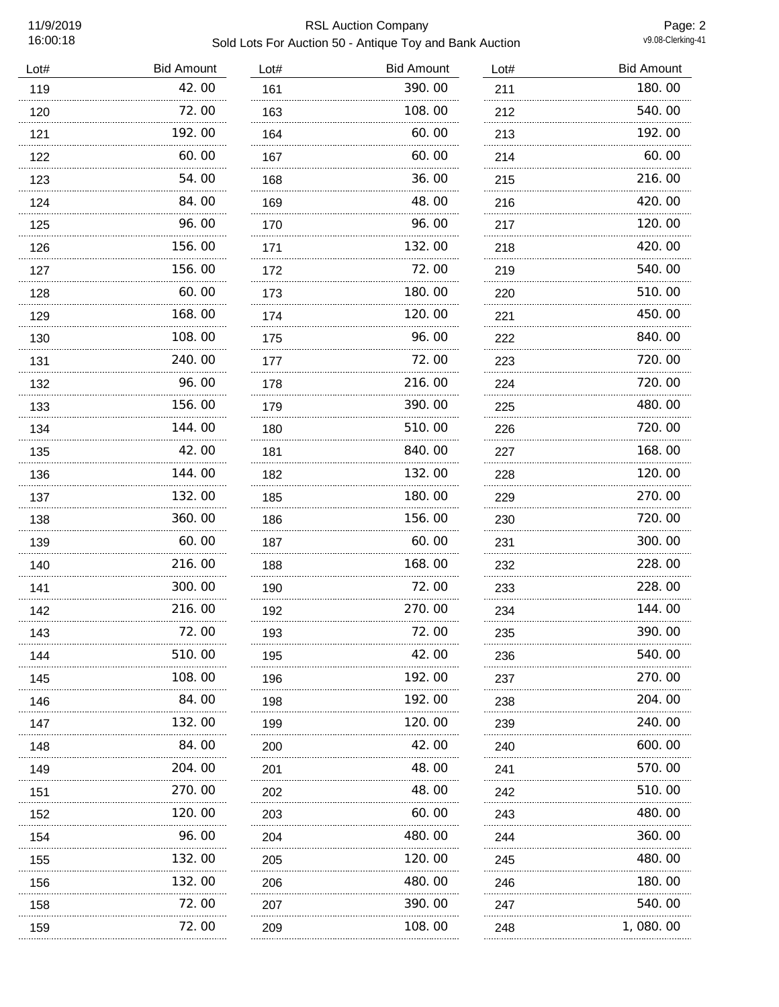# 11/9/2019 RSL Auction Company Sold Lots For Auction 50 - Antique Toy and Bank Auction

Page: 2<br>v9.08-Clerking-41

| Lot# | <b>Bid Amount</b> | Lot# | <b>Bid Amount</b> | Lot#     | <b>Bid Amount</b> |
|------|-------------------|------|-------------------|----------|-------------------|
| 119  | 42.00             | 161  | 390.00            | 211      | 180.00            |
| 120  | 72.00<br>.        | 163  | 108.00            | 212      | 540.00            |
| 121  | 192.00            | 164  | 60.00             | 213      | 192.00            |
| 122  | 60.00             | 167  | 60.00             | 214      | 60.00             |
| 123  | 54.00             | 168  | 36.00             | 215      | 216.00            |
| 124  | 84.00             | 169  | 48.00             | 216      | 420.00            |
| 125  | 96.00             | 170  | 96.00             | 217      | 120.00            |
| 126  | 156.00            | 171  | 132.00            | 218      | 420.00            |
| 127  | 156.00            | 172  | 72.00             | 219      | 540.00            |
| 128  | 60.00<br>.        | 173  | 180.00            | 220      | 510.00            |
| 129  | 168.00            | 174  | 120.00            | 221      | 450.00            |
| 130  | 108.00            | 175  | 96.00             | 222      | 840.00            |
| 131  | 240.00            | 177  | 72.00             | 223      | 720.00            |
| 132  | 96.00             | 178  | 216.00            | 224      | 720.00            |
| 133  | 156.00            | 179  | 390.00            | 225      | 480.00            |
| 134  | 144.00            | 180  | 510.00            | 226      | 720.00            |
| 135  | 42.00             | 181  | 840.00            | 227      | 168.00            |
| 136  | 144.00            | 182  | 132.00            | 228      | 120.00            |
| 137  | 132.00            | 185  | 180.00            | 229      | 270.00            |
| 138  | 360.00            | 186  | 156.00            | 230<br>. | 720.00            |
| 139  | 60.00             | 187  | 60.00             | 231      | 300.00            |
| 140  | 216.00            | 188  | 168.00            | 232      | 228.00            |
| 141  | 300.00            | 190  | 72.00             | 233      | 228.00            |
| 142  | 216.00            | 192  | 270.00            | 234      | 144.00            |
| 143  | 72.00             | 193  | 72.00             | 235      | 390.00            |
| 144  | 510.00            | 195  | 42.00             | 236      | 540. 00           |
| 145  | 108.00            | 196  | 192.00            | 237      | 270.00            |
| 146  | 84.00             | 198  | 192.00            | 238      | 204.00            |
| 147  | 132.00            | 199  | 120.00            | 239      | 240.00            |
| 148  | 84.00             | 200  | 42.00             | 240      | 600.00            |
| 149  | 204. 00           | 201  | 48. OO            | 241      | 570.00            |
| 151  | 270.00            | 202  | 48.00             | 242      | 510. 00           |
| 152  | 120.00            | 203  | 60.00             | 243      | 480.00            |
| 154  | 96.00             | 204  | 480.00            | 244      | 360.00            |
| 155  | .<br>132.00       | 205  | 120.00            | 245      | 480.00            |
| 156  | 132.00            | 206  | 480.00            | 246      | 180.00            |
| 158  | .<br>72.00        | 207  | 390.00            | 247      | 540.00            |
| 159  | 72.00             | 209  | 108.00            | 248      | 1,080.00          |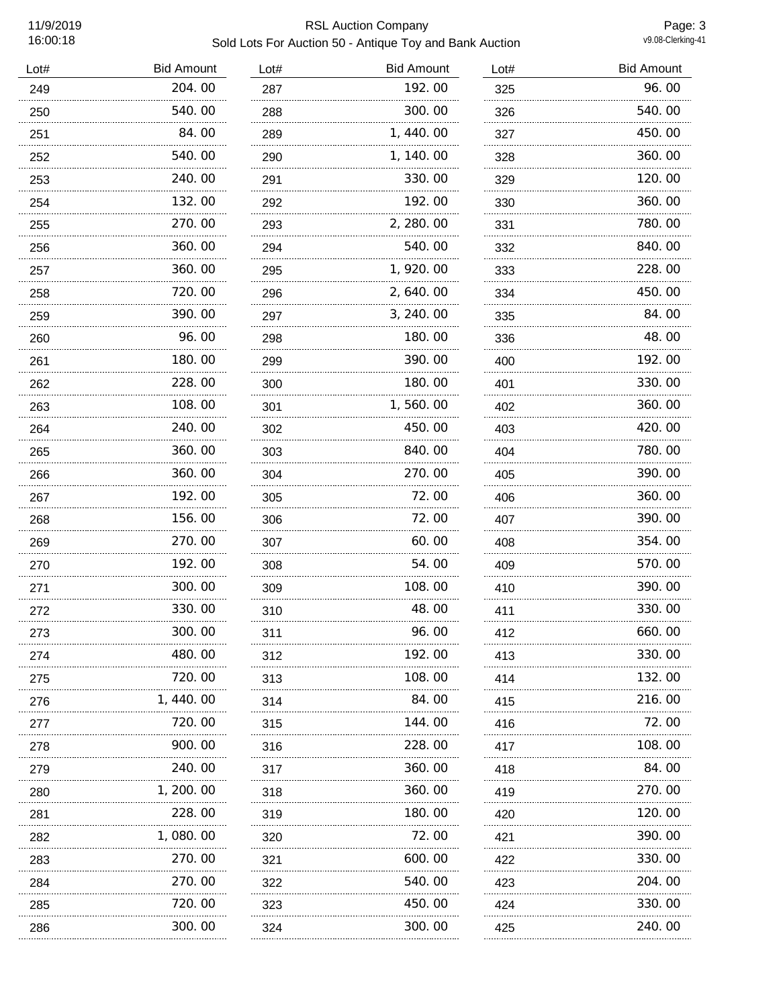# 11/9/2019 RSL Auction Company Sold Lots For Auction 50 - Antique Toy and Bank Auction

Page: 3<br>v9.08-Clerking-41

| 204.00<br>192.00<br>249<br>287<br>325<br>540.00<br>300.00<br>288<br>250<br>326<br>1,440.00<br>84.00<br>289<br>251<br>327<br>540.00<br>1, 140.00<br>252<br>290<br>328<br>.<br>240.00<br>330.00<br>291<br>253<br>329<br>132.00<br>192.00<br>292<br>330<br>254<br>270.00<br>2, 280.00<br>293<br>255<br>331<br>360.00<br>540.00<br>294<br>332<br>256<br><br>360.00<br>1, 920.00<br>257<br>295<br>333<br>.<br>720.00<br>2,640.00<br>334<br>258<br>296<br>.<br>390.00<br>3, 240.00<br>297<br>259<br>335<br>96.00<br>180.00<br>298<br>336<br>260<br>180.00<br>390.00<br>261<br>299<br>400<br>228.00<br>180.00<br>401<br>262<br>300<br>108.00<br>1,560.00<br>263<br>301<br>402<br>240.00<br>450.00<br>403<br>264<br>302<br>360.00<br>840.00<br>265<br>303<br>404<br>360.00<br>270.00<br>304<br>405<br>266<br>192.00<br>72.00<br>267<br>305<br>406<br>156.00<br>72.00<br>407<br>268<br>306<br>270.00<br>60.00<br>408<br>269<br>307<br>192.00<br>54.00<br>409<br>308<br>270<br>300.00<br>108.00<br>309<br>271<br>410<br>330.00<br>48.00<br>310<br>411<br>272<br>300. 00<br>96.00<br>273<br>311<br>412<br>192.00<br>480.00<br>274<br>312<br>413<br>720. 00<br>108.00<br>313<br>275<br>414<br>1, 440.00<br>84.00<br>276<br>314<br>415<br>720.00<br>144. 00<br>315<br>277<br>416<br>900.00<br>228.00<br>316<br>278<br>417<br>240.00<br>360.00<br>279<br>317<br>418<br>1, 200. 00<br>360.00<br>318<br>280<br>419<br>228.00<br>180.00<br>319<br>420<br>281<br>72.00<br>1,080.00<br>282<br>320<br>421<br>270.00<br>600.00<br>283<br>321<br>422<br>270.00<br>540.00<br>284<br>322<br>423<br>720.00<br>450.00<br>424<br>285<br>323 | Lot# | <b>Bid Amount</b> | Lot# | <b>Bid Amount</b> | Lot# | <b>Bid Amount</b> |
|------------------------------------------------------------------------------------------------------------------------------------------------------------------------------------------------------------------------------------------------------------------------------------------------------------------------------------------------------------------------------------------------------------------------------------------------------------------------------------------------------------------------------------------------------------------------------------------------------------------------------------------------------------------------------------------------------------------------------------------------------------------------------------------------------------------------------------------------------------------------------------------------------------------------------------------------------------------------------------------------------------------------------------------------------------------------------------------------------------------------------------------------------------------------------------------------------------------------------------------------------------------------------------------------------------------------------------------------------------------------------------------------------------------------------------------------------------------------------------------------------------------------------------------------------------------------------------------------------------------|------|-------------------|------|-------------------|------|-------------------|
|                                                                                                                                                                                                                                                                                                                                                                                                                                                                                                                                                                                                                                                                                                                                                                                                                                                                                                                                                                                                                                                                                                                                                                                                                                                                                                                                                                                                                                                                                                                                                                                                                  |      |                   |      |                   |      | 96.00             |
|                                                                                                                                                                                                                                                                                                                                                                                                                                                                                                                                                                                                                                                                                                                                                                                                                                                                                                                                                                                                                                                                                                                                                                                                                                                                                                                                                                                                                                                                                                                                                                                                                  |      |                   |      |                   |      | 540.00            |
|                                                                                                                                                                                                                                                                                                                                                                                                                                                                                                                                                                                                                                                                                                                                                                                                                                                                                                                                                                                                                                                                                                                                                                                                                                                                                                                                                                                                                                                                                                                                                                                                                  |      |                   |      |                   |      | 450.00            |
|                                                                                                                                                                                                                                                                                                                                                                                                                                                                                                                                                                                                                                                                                                                                                                                                                                                                                                                                                                                                                                                                                                                                                                                                                                                                                                                                                                                                                                                                                                                                                                                                                  |      |                   |      |                   |      | 360.00            |
|                                                                                                                                                                                                                                                                                                                                                                                                                                                                                                                                                                                                                                                                                                                                                                                                                                                                                                                                                                                                                                                                                                                                                                                                                                                                                                                                                                                                                                                                                                                                                                                                                  |      |                   |      |                   |      | 120.00            |
|                                                                                                                                                                                                                                                                                                                                                                                                                                                                                                                                                                                                                                                                                                                                                                                                                                                                                                                                                                                                                                                                                                                                                                                                                                                                                                                                                                                                                                                                                                                                                                                                                  |      |                   |      |                   |      | 360.00            |
|                                                                                                                                                                                                                                                                                                                                                                                                                                                                                                                                                                                                                                                                                                                                                                                                                                                                                                                                                                                                                                                                                                                                                                                                                                                                                                                                                                                                                                                                                                                                                                                                                  |      |                   |      |                   |      | 780.00            |
|                                                                                                                                                                                                                                                                                                                                                                                                                                                                                                                                                                                                                                                                                                                                                                                                                                                                                                                                                                                                                                                                                                                                                                                                                                                                                                                                                                                                                                                                                                                                                                                                                  |      |                   |      |                   |      | 840.00            |
|                                                                                                                                                                                                                                                                                                                                                                                                                                                                                                                                                                                                                                                                                                                                                                                                                                                                                                                                                                                                                                                                                                                                                                                                                                                                                                                                                                                                                                                                                                                                                                                                                  |      |                   |      |                   |      | 228.00            |
|                                                                                                                                                                                                                                                                                                                                                                                                                                                                                                                                                                                                                                                                                                                                                                                                                                                                                                                                                                                                                                                                                                                                                                                                                                                                                                                                                                                                                                                                                                                                                                                                                  |      |                   |      |                   |      | 450.00            |
|                                                                                                                                                                                                                                                                                                                                                                                                                                                                                                                                                                                                                                                                                                                                                                                                                                                                                                                                                                                                                                                                                                                                                                                                                                                                                                                                                                                                                                                                                                                                                                                                                  |      |                   |      |                   |      | 84.00             |
|                                                                                                                                                                                                                                                                                                                                                                                                                                                                                                                                                                                                                                                                                                                                                                                                                                                                                                                                                                                                                                                                                                                                                                                                                                                                                                                                                                                                                                                                                                                                                                                                                  |      |                   |      |                   |      | 48.00             |
|                                                                                                                                                                                                                                                                                                                                                                                                                                                                                                                                                                                                                                                                                                                                                                                                                                                                                                                                                                                                                                                                                                                                                                                                                                                                                                                                                                                                                                                                                                                                                                                                                  |      |                   |      |                   |      | 192.00            |
|                                                                                                                                                                                                                                                                                                                                                                                                                                                                                                                                                                                                                                                                                                                                                                                                                                                                                                                                                                                                                                                                                                                                                                                                                                                                                                                                                                                                                                                                                                                                                                                                                  |      |                   |      |                   |      | 330.00            |
|                                                                                                                                                                                                                                                                                                                                                                                                                                                                                                                                                                                                                                                                                                                                                                                                                                                                                                                                                                                                                                                                                                                                                                                                                                                                                                                                                                                                                                                                                                                                                                                                                  |      |                   |      |                   |      | 360.00            |
|                                                                                                                                                                                                                                                                                                                                                                                                                                                                                                                                                                                                                                                                                                                                                                                                                                                                                                                                                                                                                                                                                                                                                                                                                                                                                                                                                                                                                                                                                                                                                                                                                  |      |                   |      |                   |      | 420.00            |
|                                                                                                                                                                                                                                                                                                                                                                                                                                                                                                                                                                                                                                                                                                                                                                                                                                                                                                                                                                                                                                                                                                                                                                                                                                                                                                                                                                                                                                                                                                                                                                                                                  |      |                   |      |                   |      | 780.00            |
|                                                                                                                                                                                                                                                                                                                                                                                                                                                                                                                                                                                                                                                                                                                                                                                                                                                                                                                                                                                                                                                                                                                                                                                                                                                                                                                                                                                                                                                                                                                                                                                                                  |      |                   |      |                   |      | 390.00            |
|                                                                                                                                                                                                                                                                                                                                                                                                                                                                                                                                                                                                                                                                                                                                                                                                                                                                                                                                                                                                                                                                                                                                                                                                                                                                                                                                                                                                                                                                                                                                                                                                                  |      |                   |      |                   |      | 360.00            |
|                                                                                                                                                                                                                                                                                                                                                                                                                                                                                                                                                                                                                                                                                                                                                                                                                                                                                                                                                                                                                                                                                                                                                                                                                                                                                                                                                                                                                                                                                                                                                                                                                  |      |                   |      |                   |      | 390.00            |
|                                                                                                                                                                                                                                                                                                                                                                                                                                                                                                                                                                                                                                                                                                                                                                                                                                                                                                                                                                                                                                                                                                                                                                                                                                                                                                                                                                                                                                                                                                                                                                                                                  |      |                   |      |                   |      | 354.00            |
|                                                                                                                                                                                                                                                                                                                                                                                                                                                                                                                                                                                                                                                                                                                                                                                                                                                                                                                                                                                                                                                                                                                                                                                                                                                                                                                                                                                                                                                                                                                                                                                                                  |      |                   |      |                   |      | 570.00            |
|                                                                                                                                                                                                                                                                                                                                                                                                                                                                                                                                                                                                                                                                                                                                                                                                                                                                                                                                                                                                                                                                                                                                                                                                                                                                                                                                                                                                                                                                                                                                                                                                                  |      |                   |      |                   |      | 390.00            |
|                                                                                                                                                                                                                                                                                                                                                                                                                                                                                                                                                                                                                                                                                                                                                                                                                                                                                                                                                                                                                                                                                                                                                                                                                                                                                                                                                                                                                                                                                                                                                                                                                  |      |                   |      |                   |      | 330.00            |
|                                                                                                                                                                                                                                                                                                                                                                                                                                                                                                                                                                                                                                                                                                                                                                                                                                                                                                                                                                                                                                                                                                                                                                                                                                                                                                                                                                                                                                                                                                                                                                                                                  |      |                   |      |                   |      | 660.00            |
|                                                                                                                                                                                                                                                                                                                                                                                                                                                                                                                                                                                                                                                                                                                                                                                                                                                                                                                                                                                                                                                                                                                                                                                                                                                                                                                                                                                                                                                                                                                                                                                                                  |      |                   |      |                   |      | 330. 00           |
|                                                                                                                                                                                                                                                                                                                                                                                                                                                                                                                                                                                                                                                                                                                                                                                                                                                                                                                                                                                                                                                                                                                                                                                                                                                                                                                                                                                                                                                                                                                                                                                                                  |      |                   |      |                   |      | 132.00            |
|                                                                                                                                                                                                                                                                                                                                                                                                                                                                                                                                                                                                                                                                                                                                                                                                                                                                                                                                                                                                                                                                                                                                                                                                                                                                                                                                                                                                                                                                                                                                                                                                                  |      |                   |      |                   |      | 216.00            |
|                                                                                                                                                                                                                                                                                                                                                                                                                                                                                                                                                                                                                                                                                                                                                                                                                                                                                                                                                                                                                                                                                                                                                                                                                                                                                                                                                                                                                                                                                                                                                                                                                  |      |                   |      |                   |      | 72.00             |
|                                                                                                                                                                                                                                                                                                                                                                                                                                                                                                                                                                                                                                                                                                                                                                                                                                                                                                                                                                                                                                                                                                                                                                                                                                                                                                                                                                                                                                                                                                                                                                                                                  |      |                   |      |                   |      | 108. 00           |
|                                                                                                                                                                                                                                                                                                                                                                                                                                                                                                                                                                                                                                                                                                                                                                                                                                                                                                                                                                                                                                                                                                                                                                                                                                                                                                                                                                                                                                                                                                                                                                                                                  |      |                   |      |                   |      | 84.00             |
|                                                                                                                                                                                                                                                                                                                                                                                                                                                                                                                                                                                                                                                                                                                                                                                                                                                                                                                                                                                                                                                                                                                                                                                                                                                                                                                                                                                                                                                                                                                                                                                                                  |      |                   |      |                   |      | 270.00            |
|                                                                                                                                                                                                                                                                                                                                                                                                                                                                                                                                                                                                                                                                                                                                                                                                                                                                                                                                                                                                                                                                                                                                                                                                                                                                                                                                                                                                                                                                                                                                                                                                                  |      |                   |      |                   |      | 120.00            |
|                                                                                                                                                                                                                                                                                                                                                                                                                                                                                                                                                                                                                                                                                                                                                                                                                                                                                                                                                                                                                                                                                                                                                                                                                                                                                                                                                                                                                                                                                                                                                                                                                  |      |                   |      |                   |      | 390.00            |
|                                                                                                                                                                                                                                                                                                                                                                                                                                                                                                                                                                                                                                                                                                                                                                                                                                                                                                                                                                                                                                                                                                                                                                                                                                                                                                                                                                                                                                                                                                                                                                                                                  |      |                   |      |                   |      | 330.00            |
|                                                                                                                                                                                                                                                                                                                                                                                                                                                                                                                                                                                                                                                                                                                                                                                                                                                                                                                                                                                                                                                                                                                                                                                                                                                                                                                                                                                                                                                                                                                                                                                                                  |      |                   |      |                   |      | 204.00            |
|                                                                                                                                                                                                                                                                                                                                                                                                                                                                                                                                                                                                                                                                                                                                                                                                                                                                                                                                                                                                                                                                                                                                                                                                                                                                                                                                                                                                                                                                                                                                                                                                                  |      |                   |      |                   |      | 330.00            |
| 286<br>324<br>425                                                                                                                                                                                                                                                                                                                                                                                                                                                                                                                                                                                                                                                                                                                                                                                                                                                                                                                                                                                                                                                                                                                                                                                                                                                                                                                                                                                                                                                                                                                                                                                                |      | 300.00            |      | 300.00            |      | 240.00            |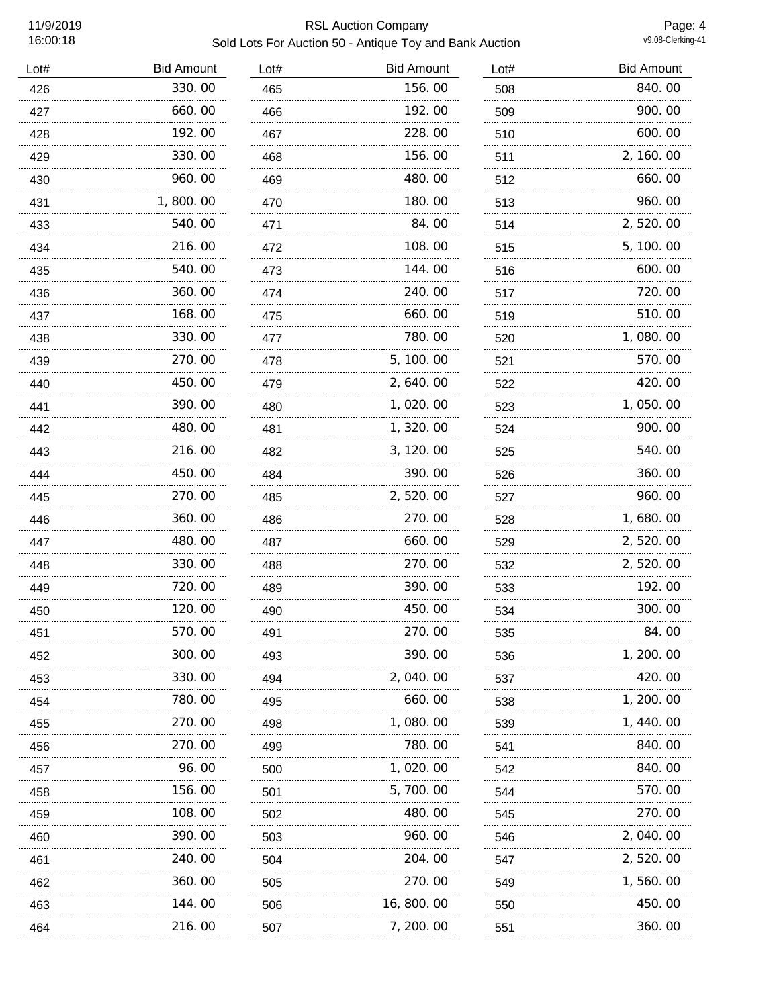# 11/9/2019 RSL Auction Company Sold Lots For Auction 50 - Antique Toy and Bank Auction

Page: 4<br>v9.08-Clerking-41

| Lot# | <b>Bid Amount</b> | Lot# | <b>Bid Amount</b> | Lot# | <b>Bid Amount</b> |
|------|-------------------|------|-------------------|------|-------------------|
| 426  | 330.00            | 465  | 156.00            | 508  | 840.00            |
| 427  | 660.00            | 466  | 192.00            | 509  | 900.00            |
| 428  | 192.00            | 467  | 228.00            | 510  | 600.00            |
| 429  | 330.00            | 468  | 156.00            | 511  | 2, 160.00         |
| 430  | 960.00            | 469  | 480.00            | 512  | 660.00            |
| 431  | 1,800.00          | 470  | 180.00            | 513  | 960.00            |
| 433  | 540.00            | 471  | 84.00             | 514  | 2,520.00          |
| 434  | 216.00            | 472  | 108.00            | 515  | 5, 100. 00        |
| 435  | 540.00            | 473  | 144.00            | 516  | 600.00            |
| 436  | 360.00            | 474  | 240.00            | 517  | 720.00            |
| 437  | 168.00            | 475  | 660.00            | 519  | 510.00            |
| 438  | 330.00            | 477  | 780.00            | 520  | 1,080.00          |
| 439  | 270.00            | 478  | 5, 100. 00        | 521  | 570.00            |
| 440  | 450.00            | 479  | 2, 640.00         | 522  | 420.00            |
| 441  | 390.00            | 480  | 1,020.00          | 523  | 1,050.00          |
| 442  | 480.00            | 481  | 1, 320.00         | 524  | 900.00            |
| 443  | 216.00            | 482  | 3, 120.00         | 525  | 540.00            |
| 444  | 450.00            | 484  | 390.00            | 526  | 360.00            |
| 445  | 270.00            | 485  | 2, 520.00         | 527  | 960.00            |
| 446  | 360.00            | 486  | 270.00            | 528  | 1,680.00          |
| 447  | 480.00            | 487  | 660.00            | 529  | 2, 520.00         |
| 448  | 330.00            | 488  | 270.00            | 532  | 2, 520.00         |
| 449  | 720.00            | 489  | 390.00            | 533  | 192.00            |
| 450  | 120.00            | 490  | 450.00            | 534  | 300.00            |
| 451  | 570.00<br>        | 491  | 270.00            | 535  | 84.00             |
| 452  | 300.00            | 493  | 390.00            | 536  | 1, 200. 00        |
| 453  | 330. 00           | 494  | 2, 040, 00        | 537  | 420.00            |
| 454  | 780.00            | 495  | 660.00            | 538  | 1, 200. 00        |
| 455  | 270.00            | 498  | 1, 080. 00        | 539  | 1, 440. 00        |
| 456  | 270.00            | 499  | 780.00            | 541  | 840.00            |
| 457  | 96.00             | 500  | 1, 020. 00        | 542  | 840.00            |
| 458  | 156.00            | 501  | 5,700.00          | 544  | 570.00            |
| 459  | 108.00            | 502  | 480.00            | 545  | 270.00            |
| 460  | 390.00            | 503  | 960.00            | 546  | 2, 040.00         |
| 461  | 240.00            | 504  | 204.00            | 547  | 2, 520.00         |
| 462  | 360.00            | 505  | 270.00            | 549  | 1, 560. 00        |
| 463  | 144.00            | 506  | 16, 800. 00       | 550  | 450.00            |
| 464  | 216.00            | 507  | 7, 200. 00        | 551  | 360. 00           |
|      |                   |      |                   |      |                   |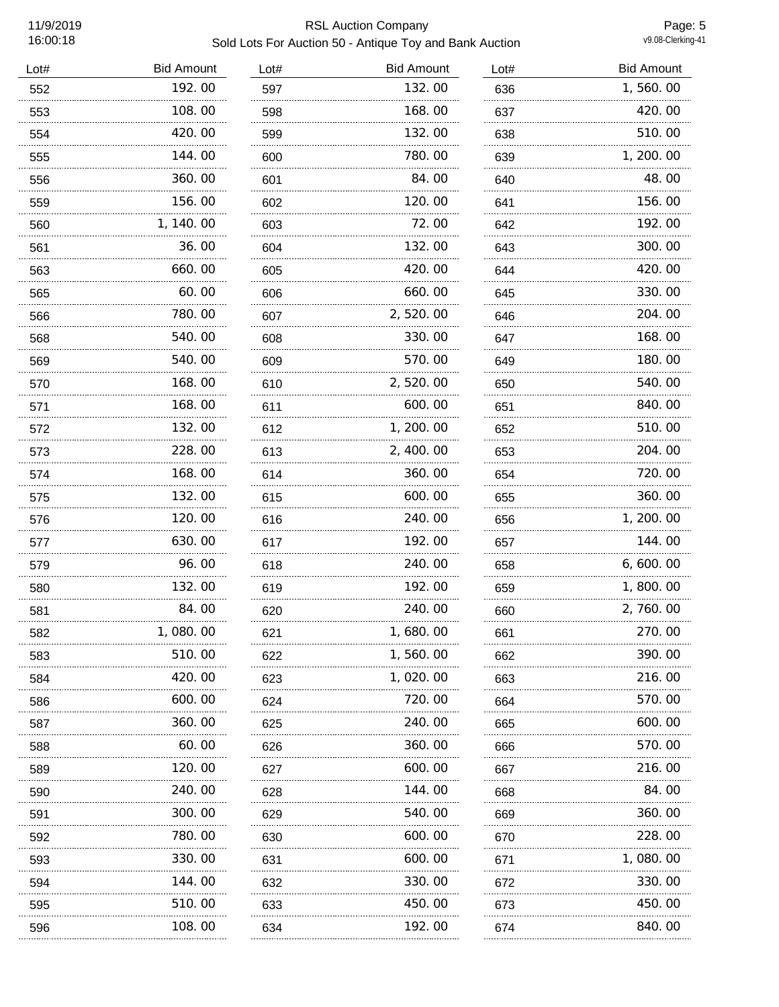### 11/9/2019 RSL Auction Company Sold Lots For Auction 50 - Antique Toy and Bank Auction

Page: 5<br>v9.08-Clerking-41

| Lot# | <b>Bid Amount</b> | Lot# | <b>Bid Amount</b> | Lot# | <b>Bid Amount</b> |
|------|-------------------|------|-------------------|------|-------------------|
| 552  | 192.00            | 597  | 132.00            | 636  | 1,560.00          |
| 553  | 108.00            | 598  | 168.00            | 637  | 420.00            |
| 554  | 420.00            | 599  | 132.00            | 638  | 510.00            |
| 555  | 144.00            | 600  | 780.00            | 639  | 1, 200. 00        |
| 556  | 360.00            | 601  | 84.00             | 640  | 48.00             |
| 559  | 156.00            | 602  | 120.00            | 641  | 156.00            |
| 560  | 1, 140.00         | 603  | 72.00             | 642  | 192.00            |
| 561  | 36.00             | 604  | 132.00            | 643  | 300.00            |
| 563  | 660.00            | 605  | 420.00            | 644  | 420.00            |
| 565  | 60.00             | 606  | 660.00            | 645  | 330.00            |
| 566  | 780.00            | 607  | 2,520.00          | 646  | 204.00            |
| 568  | 540.00            | 608  | 330.00            | 647  | 168.00            |
| 569  | 540.00            | 609  | 570.00            | 649  | 180.00            |
| 570  | 168.00            | 610  | 2,520.00          | 650  | 540.00            |
| 571  | 168.00            | 611  | 600.00            | 651  | 840.00            |
| 572  | 132.00            | 612  | 1, 200.00         | 652  | 510.00            |
| 573  | 228.00            | 613  | 2, 400.00         | 653  | 204.00            |
| 574  | 168.00            | 614  | 360.00            | 654  | 720.00            |
| 575  | 132.00            | 615  | 600.00            | 655  | 360.00            |
| 576  | 120.00            | 616  | 240.00            | 656  | 1, 200. 00        |
| 577  | 630.00            | 617  | 192.00            | 657  | 144.00            |
| 579  | 96.00             | 618  | 240.00            | 658  | 6, 600. 00        |
| 580  | 132.00            | 619  | 192.00            | 659  | 1,800.00          |
| 581  | 84.00             | 620  | 240.00            | 660  | 2,760.00          |
| 582  | 1, 080. 00        | 621  | 1, 680, 00        | 661  | 270.00            |
| 583  | 510.00            | 622  | 1, 560. 00        | 662  | 390.00            |
| 584  | 420.00            | 623  | 1, 020. 00        | 663  | 216.00            |
| 586  | 600.00            | 624  | 720.00            | 664  | 570.00            |
| 587  | 360.00            | 625  | 240.00            | 665  | 600.00            |
| 588  | 60.00             | 626  | 360.00            | 666  | 570.00            |
| 589  | 120.00            | 627  | 600.00            | 667  | 216.00            |
| 590  | 240.00            | 628  | 144. 00           | 668  | 84.00             |
| 591  | 300. 00           | 629  | 540.00            | 669  | 360.00            |
| 592  | 780.00            | 630  | 600.00            | 670  | 228.00            |
| 593  | 330.00            | 631  | 600.00            | 671  | 1,080.00          |
| 594  | 144.00<br>.       | 632  | 330.00            | 672  | 330.00            |
| 595  | 510.00            | 633  | 450.00            | 673  | 450.00            |
| 596  | 108.00            | 634  | 192.00            | 674  | 840.00            |
|      |                   |      |                   |      |                   |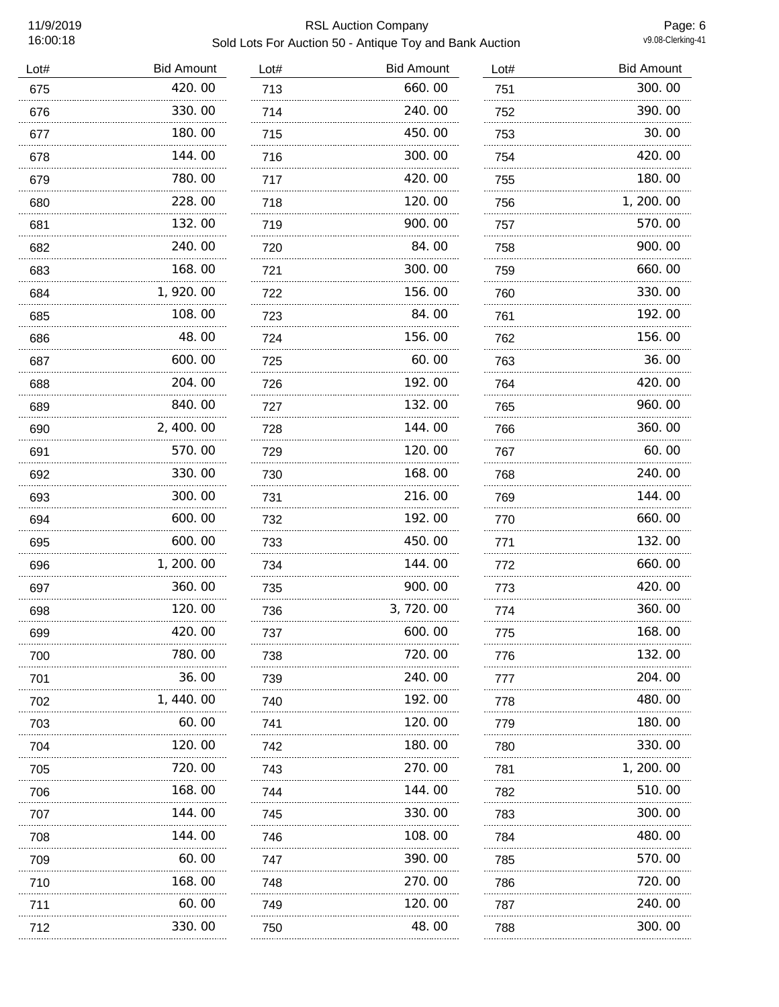# 11/9/2019 RSL Auction Company Sold Lots For Auction 50 - Antique Toy and Bank Auction

Page: 6<br>v9.08-Clerking-41

| Lot# | <b>Bid Amount</b> | Lot# | <b>Bid Amount</b> | Lot# | <b>Bid Amount</b> |
|------|-------------------|------|-------------------|------|-------------------|
| 675  | 420.00            | 713  | 660.00            | 751  | 300.00            |
| 676  | 330.00            | 714  | 240.00            | 752  | 390.00            |
| 677  | 180.00            | 715  | 450.00            | 753  | 30.00             |
| 678  | 144.00            | 716  | 300.00            | 754  | 420.00            |
| 679  | 780.00            | 717  | 420.00            | 755  | 180.00            |
| 680  | 228.00            | 718  | 120.00            | 756  | 1, 200. 00        |
| 681  | 132.00            | 719  | 900.00            | 757  | 570.00            |
| 682  | 240.00            | 720  | 84.00             | 758  | 900.00            |
| 683  | 168.00            | 721  | 300.00            | 759  | 660.00            |
| 684  | 1,920.00          | 722  | 156.00            | 760  | 330.00            |
| 685  | 108.00            | 723  | 84.00             | 761  | 192.00            |
| 686  | 48.00             | 724  | 156.00            | 762  | 156.00            |
| 687  | 600.00            | 725  | 60.00             | 763  | 36.00             |
| 688  | 204.00            | 726  | 192.00            | 764  | 420.00            |
| 689  | 840.00            | 727  | 132.00            | 765  | 960.00            |
| 690  | 2, 400.00         | 728  | 144.00            | 766  | 360.00            |
| 691  | 570.00            | 729  | 120.00            | 767  | 60.00             |
| 692  | 330.00            | 730  | 168.00            | 768  | 240.00            |
| 693  | 300.00            | 731  | 216.00            | 769  | 144.00            |
| 694  | 600.00            | 732  | 192.00            | 770  | 660.00            |
| 695  | 600.00            | 733  | 450.00            | 771  | 132.00            |
| 696  | 1, 200. 00        | 734  | 144.00            | 772  | 660.00            |
| 697  | 360.00            | 735  | 900.00            | 773  | 420.00            |
| 698  | 120.00            | 736  | 3,720.00          | 774  | 360.00            |
| 699  | 420.00            | 737  | 600.00            | 775  | 168.00            |
| 700  | 780.00            | 738  | 720.00            | 776  | 132.00            |
| 701  | 36.00             | 739  | 240.00            | 777  | 204.00            |
| 702  | 1, 440.00         | 740  | 192.00            | 778  | 480.00            |
| 703  | 60.00             | 741  | 120. 00           | 779  | 180.00            |
| 704  | 120.00            | 742  | 180.00            | 780  | 330, 00           |
| 705  | 720.00            | 743  | 270.00            | 781  | 1, 200. 00        |
| 706  | 168.00            | 744  | 144.00            | 782  | 510.00            |
| 707  | 144.00            | 745  | 330.00            | 783  | 300.00            |
| 708  | 144.00            | 746  | 108.00            | 784  | 480.00            |
| 709  | 60.00             | 747  | 390.00            | 785  | 570.00            |
| 710  | 168.00            | 748  | 270.00            | 786  | 720.00            |
| 711  | 60.00             | 749  | 120.00            | 787  | 240.00            |
| 712  | 330. 00           | 750  | 48.00             | 788  | 300. 00           |
|      |                   |      |                   |      |                   |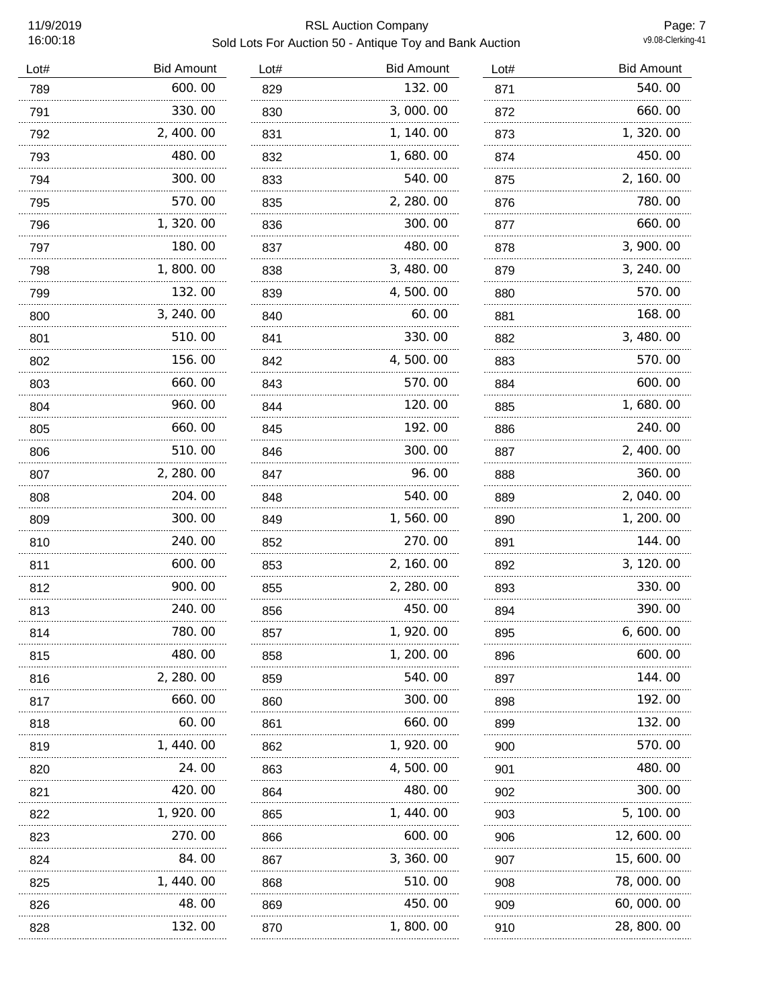### 11/9/2019 RSL Auction Company Sold Lots For Auction 50 - Antique Toy and Bank Auction

Page: 7<br>v9.08-Clerking-41

| Lot# | <b>Bid Amount</b> | Lot# | <b>Bid Amount</b> | Lot# | <b>Bid Amount</b> |
|------|-------------------|------|-------------------|------|-------------------|
| 789  | 600.00            | 829  | 132.00            | 871  | 540.00            |
| 791  | 330.00            | 830  | 3,000.00          | 872  | 660.00            |
| 792  | 2, 400.00         | 831  | 1, 140.00         | 873  | 1, 320.00         |
| 793  | 480.00            | 832  | 1,680.00          | 874  | 450.00            |
| 794  | 300.00            | 833  | 540.00            | 875  | 2, 160. 00        |
| 795  | 570.00            | 835  | 2, 280.00         | 876  | 780.00            |
| 796  | 1, 320.00         | 836  | 300.00            | 877  | 660.00            |
| 797  | 180.00            | 837  | 480.00            | 878  | 3, 900. 00        |
| 798  | 1,800.00          | 838  | 3, 480.00         | 879  | 3, 240.00         |
| 799  | 132.00            | 839  | 4,500.00          | 880  | 570.00            |
| 800  | 3, 240.00         | 840  | 60.00             | 881  | 168.00            |
| 801  | 510.00            | 841  | 330.00            | 882  | 3, 480.00         |
| 802  | 156.00            | 842  | 4,500.00          | 883  | 570.00            |
| 803  | 660.00            | 843  | 570.00            | 884  | 600.00            |
| 804  | 960.00            | 844  | 120.00            | 885  | 1,680.00          |
| 805  | 660.00            | 845  | 192.00            | 886  | 240.00            |
| 806  | 510.00            | 846  | 300.00            | 887  | 2, 400.00         |
| 807  | 2, 280.00         | 847  | 96.00             | 888  | 360.00            |
| 808  | 204.00            | 848  | 540.00            | 889  | 2, 040.00         |
| 809  | 300.00<br>.       | 849  | 1,560.00          | 890  | 1, 200. 00        |
| 810  | 240.00            | 852  | 270.00            | 891  | 144.00            |
| 811  | 600.00            | 853  | 2, 160.00         | 892  | 3, 120.00         |
| 812  | 900.00            | 855  | 2, 280.00         | 893  | 330.00            |
| 813  | 240.00            | 856  | 450.00            | 894  | 390.00            |
| 814  | 780.00            | 857  | 1,920.00          | 895  | 6, 600. 00        |
| 815  | 480.00            | 858  | 1, 200. 00        | 896  | 600.00            |
| 816  | 2, 280.00         | 859  | 540.00            | 897  | 144.00            |
| 817  | 660.00            | 860  | 300.00            | 898  | 192.00            |
| 818  | 60.00             | 861  | 660.00            | 899  | 132.00            |
| 819  | 1, 440. 00        | 862  | 1, 920. 00        | 900  | 570.00            |
| 820  | 24.00             | 863  | 4,500.00          | 901  | 480.00            |
| 821  | 420.00            | 864  | 480.00            | 902  | 300.00            |
| 822  | 1, 920. 00        | 865  | 1, 440. 00        | 903  | 5, 100. 00        |
| 823  | 270.00            | 866  | 600.00            | 906  | 12, 600. 00       |
| 824  | 84.00             | 867  | 3, 360. 00        | 907  | 15, 600. 00       |
| 825  | 1, 440. 00        | 868  | 510.00            | 908  | 78, 000. 00       |
| 826  | 48.00             | 869  | 450.00            | 909  | 60, 000. 00       |
| 828  | 132.00            | 870  | 1,800.00          | 910  | 28, 800. 00       |